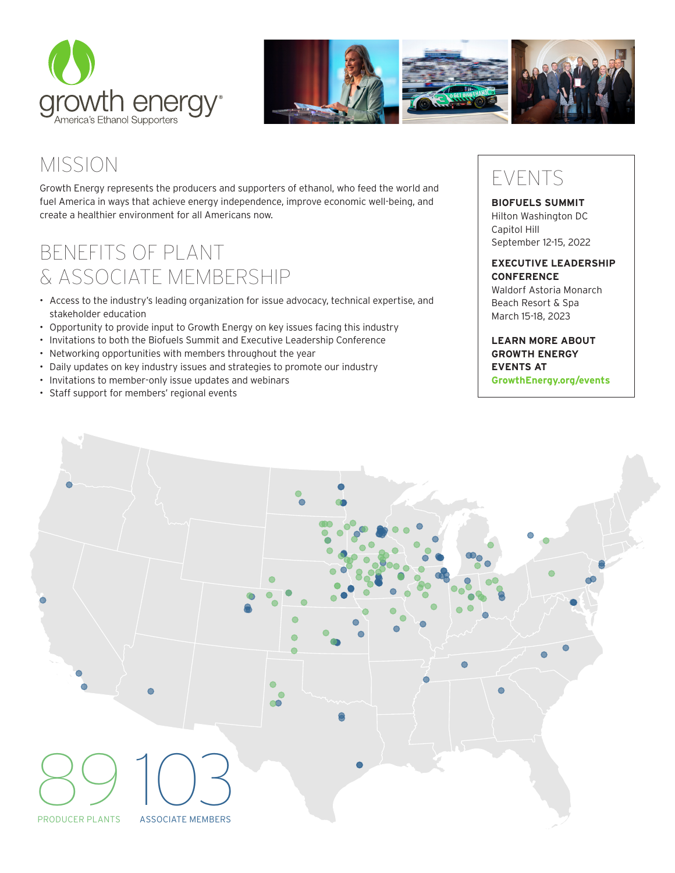



# MISSION

Growth Energy represents the producers and supporters of ethanol, who feed the world and fuel America in ways that achieve energy independence, improve economic well-being, and create a healthier environment for all Americans now.

## BENEFITS OF PLANT & ASSOCIATE MEMBERSHIP

- Access to the industry's leading organization for issue advocacy, technical expertise, and stakeholder education
- Opportunity to provide input to Growth Energy on key issues facing this industry
- Invitations to both the Biofuels Summit and Executive Leadership Conference
- Networking opportunities with members throughout the year
- Daily updates on key industry issues and strategies to promote our industry
- Invitations to member-only issue updates and webinars
- Staff support for members' regional events

## EVENTS

### **BIOFUELS SUMMIT** Hilton Washington DC Capitol Hill September 12-15, 2022

#### **EXECUTIVE LEADERSHIP CONFERENCE**

Waldorf Astoria Monarch Beach Resort & Spa March 15-18, 2023

## **LEARN MORE ABOUT GROWTH ENERGY EVENTS AT GrowthEnergy.org/events**